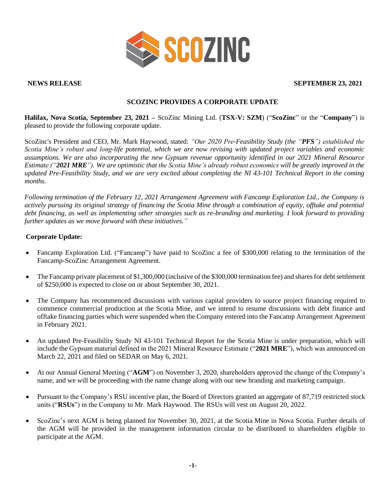

#### **NEWS RELEASE SEPTEMBER 23, 2021**

# **SCOZINC PROVIDES A CORPORATE UPDATE**

**Halifax, Nova Scotia, September 23, 2021 –** ScoZinc Mining Ltd. (**TSX-V: SZM**) ("**ScoZinc**" or the "**Company**") is pleased to provide the following corporate update.

ScoZinc's President and CEO, Mr. Mark Haywood, stated: *"Our 2020 Pre-Feasibility Study (the "PFS") established the Scotia Mine's robust and long-life potential, which we are now revising with updated project variables and economic assumptions. We are also incorporating the new Gypsum revenue opportunity identified in our 2021 Mineral Resource Estimate ("2021 MRE"). We are optimistic that the Scotia Mine's already robust economics will be greatly improved in the updated Pre-Feasibility Study, and we are very excited about completing the NI 43-101 Technical Report in the coming months.*

*Following termination of the February 12, 2021 Arrangement Agreement with Fancamp Exploration Ltd., the Company is actively pursuing its original strategy of financing the Scotia Mine through a combination of equity, offtake and potential debt financing, as well as implementing other strategies such as re-branding and marketing. I look forward to providing further updates as we move forward with these initiatives."*

## **Corporate Update:**

- Fancamp Exploration Ltd. ("Fancamp") have paid to ScoZinc a fee of \$300,000 relating to the termination of the Fancamp-ScoZinc Arrangement Agreement.
- The Fancamp private placement of \$1,300,000 (inclusive of the \$300,000 termination fee) and shares for debt settlement of \$250,000 is expected to close on or about September 30, 2021.
- The Company has recommenced discussions with various capital providers to source project financing required to commence commercial production at the Scotia Mine, and we intend to resume discussions with debt finance and offtake financing parties which were suspended when the Company entered into the Fancamp Arrangement Agreement in February 2021.
- An updated Pre-Feasibility Study NI 43-101 Technical Report for the Scotia Mine is under preparation, which will include the Gypsum material defined in the 2021 Mineral Resource Estimate ("**2021 MRE**"), which was announced on March 22, 2021 and filed on SEDAR on May 6, 2021.
- At our Annual General Meeting ("**AGM**") on November 3, 2020, shareholders approved the change of the Company's name, and we will be proceeding with the name change along with our new branding and marketing campaign.
- Pursuant to the Company's RSU incentive plan, the Board of Directors granted an aggregate of 87,719 restricted stock units ("**RSUs**") in the Company to Mr. Mark Haywood. The RSUs will vest on August 20, 2022.
- ScoZinc's next AGM is being planned for November 30, 2021, at the Scotia Mine in Nova Scotia. Further details of the AGM will be provided in the management information circular to be distributed to shareholders eligible to participate at the AGM.